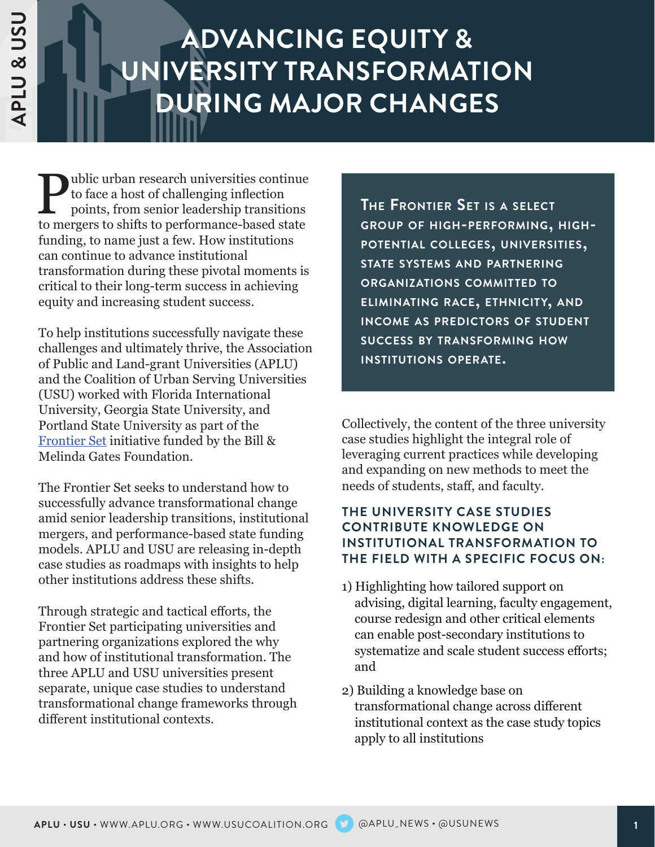# **ADVANCING EQUITY & UNIVERSITY TRANSFORMATION DURING MAJOR CHANGES**

ublic urban research universities continue to face a host of challenging inflection points, from senior leadership transitions to mergers to shifts to performance-based state funding, to name just a few. How institutions can continue to advance institutional transformation during these pivotal moments is critical to their long-term success in achieving equity and increasing student success.

To help institutions successfully navigate these challenges and ultimately thrive, the Association of Public and Land-grant Universities (APLU) and the Coalition of Urban Serving Universities (USU) worked with Florida International University, Georgia State University, and Portland State University as part of the [Frontier Set](https://www.frontierset.org/) initiative funded by the Bill & Melinda Gates Foundation.

The Frontier Set seeks to understand how to successfully advance transformational change amid senior leadership transitions, institutional mergers, and performance-based state funding models. APLU and USU are releasing in-depth case studies as roadmaps with insights to help other institutions address these shifts.

Through strategic and tactical efforts, the Frontier Set participating universities and partnering organizations explored the why and how of institutional transformation. The three APLU and USU universities present separate, unique case studies to understand transformational change frameworks through different institutional contexts.

**The Frontier Set is <sup>a</sup> select group of high-performing, highpotential colleges, universities, state systems and partnering organizations committed to eliminating race, ethnicity, and income as predictors of student success by transforming how institutions operate.** 

Collectively, the content of the three university case studies highlight the integral role of leveraging current practices while developing and expanding on new methods to meet the needs of students, staff, and faculty.

#### **THE UNIVERSITY CASE STUDIES CONTRIBUTE KNOWLEDGE ON INSTITUTIONAL TRANSFORMATION TO THE FIELD WITH A SPECIFIC FOCUS ON:**

- 1) Highlighting how tailored support on advising, digital learning, faculty engagement, course redesign and other critical elements can enable post-secondary institutions to systematize and scale student success efforts; and
- 2) Building a knowledge base on transformational change across different institutional context as the case study topics apply to all institutions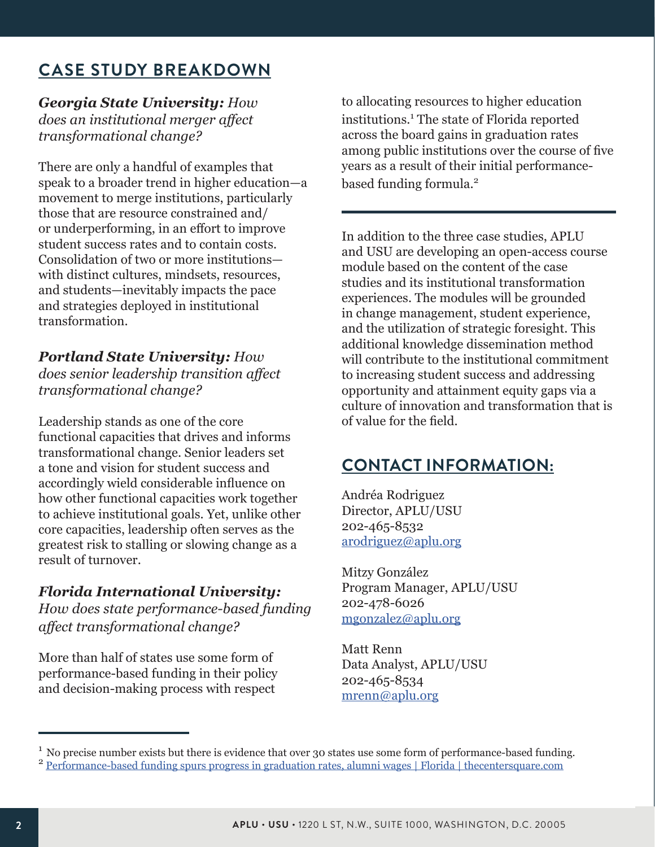## **CASE STUDY BREAKDOWN**

*Georgia State University: How does an institutional merger affect transformational change?*

There are only a handful of examples that speak to a broader trend in higher education—a movement to merge institutions, particularly those that are resource constrained and/ or underperforming, in an effort to improve student success rates and to contain costs. Consolidation of two or more institutions with distinct cultures, mindsets, resources, and students—inevitably impacts the pace and strategies deployed in institutional transformation.

*Portland State University: How does senior leadership transition affect transformational change?*

Leadership stands as one of the core functional capacities that drives and informs transformational change. Senior leaders set a tone and vision for student success and accordingly wield considerable influence on how other functional capacities work together to achieve institutional goals. Yet, unlike other core capacities, leadership often serves as the greatest risk to stalling or slowing change as a result of turnover.

### *Florida International University:*

*How does state performance-based funding affect transformational change?*

More than half of states use some form of performance-based funding in their policy and decision-making process with respect

to allocating resources to higher education institutions.<sup>1</sup> The state of Florida reported across the board gains in graduation rates among public institutions over the course of five years as a result of their initial performancebased funding formula.<sup>2</sup>

In addition to the three case studies, APLU and USU are developing an open-access course module based on the content of the case studies and its institutional transformation experiences. The modules will be grounded in change management, student experience, and the utilization of strategic foresight. This additional knowledge dissemination method will contribute to the institutional commitment to increasing student success and addressing opportunity and attainment equity gaps via a culture of innovation and transformation that is of value for the field.

## **CONTACT INFORMATION:**

Andréa Rodriguez Director, APLU/USU 202-465-8532 [arodriguez@aplu.org](mailto:arodriguez@aplu.org)

Mitzy González Program Manager, APLU/USU 202-478-6026 [mgonzalez@aplu.org](mailto:mgonzalez@aplu.org)

Matt Renn Data Analyst, APLU/USU 202-465-8534 [mrenn@aplu.org](mailto:mrenn@aplu.org)

<sup>&</sup>lt;sup>1</sup> No precise number exists but there is evidence that over 30 states use some form of performance-based funding.  $2$  Performance-based funding spurs progress in graduation rates, alumni wages | Florida | thecentersquare